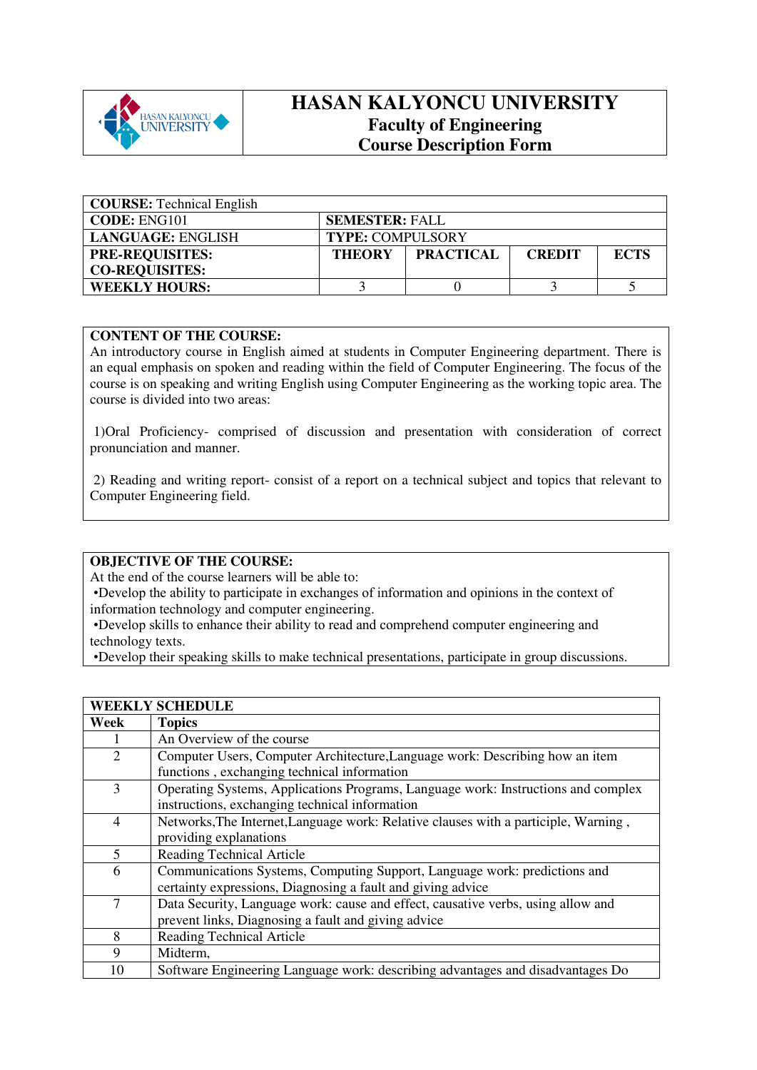

# **HASAN KALYONCU UNIVERSITY Faculty of Engineering Course Description Form**

| <b>COURSE:</b> Technical English |                         |                  |               |             |
|----------------------------------|-------------------------|------------------|---------------|-------------|
| <b>CODE: ENG101</b>              | <b>SEMESTER: FALL</b>   |                  |               |             |
| LANGUAGE: ENGLISH                | <b>TYPE: COMPULSORY</b> |                  |               |             |
| <b>PRE-REQUISITES:</b>           | <b>THEORY</b>           | <b>PRACTICAL</b> | <b>CREDIT</b> | <b>ECTS</b> |
| <b>CO-REQUISITES:</b>            |                         |                  |               |             |
| <b>WEEKLY HOURS:</b>             |                         |                  |               |             |

## **CONTENT OF THE COURSE:**

An introductory course in English aimed at students in Computer Engineering department. There is an equal emphasis on spoken and reading within the field of Computer Engineering. The focus of the course is on speaking and writing English using Computer Engineering as the working topic area. The course is divided into two areas:

 1)Oral Proficiency- comprised of discussion and presentation with consideration of correct pronunciation and manner.

 2) Reading and writing report- consist of a report on a technical subject and topics that relevant to Computer Engineering field.

#### **OBJECTIVE OF THE COURSE:**

**WEEKLY SCHEDULE** 

At the end of the course learners will be able to:

•Develop the ability to participate in exchanges of information and opinions in the context of information technology and computer engineering.

•Develop skills to enhance their ability to read and comprehend computer engineering and technology texts.

•Develop their speaking skills to make technical presentations, participate in group discussions.

|                | WEENLI SUNEDULE                                                                     |
|----------------|-------------------------------------------------------------------------------------|
| Week           | <b>Topics</b>                                                                       |
|                | An Overview of the course                                                           |
| $\overline{2}$ | Computer Users, Computer Architecture, Language work: Describing how an item        |
|                | functions, exchanging technical information                                         |
| 3              | Operating Systems, Applications Programs, Language work: Instructions and complex   |
|                | instructions, exchanging technical information                                      |
| $\overline{4}$ | Networks, The Internet, Language work: Relative clauses with a participle, Warning, |
|                | providing explanations                                                              |
| 5              | Reading Technical Article                                                           |
| 6              | Communications Systems, Computing Support, Language work: predictions and           |
|                | certainty expressions, Diagnosing a fault and giving advice                         |
| $\overline{7}$ | Data Security, Language work: cause and effect, causative verbs, using allow and    |
|                | prevent links, Diagnosing a fault and giving advice                                 |
| 8              | <b>Reading Technical Article</b>                                                    |
| 9              | Midterm,                                                                            |
| 10             | Software Engineering Language work: describing advantages and disadvantages Do      |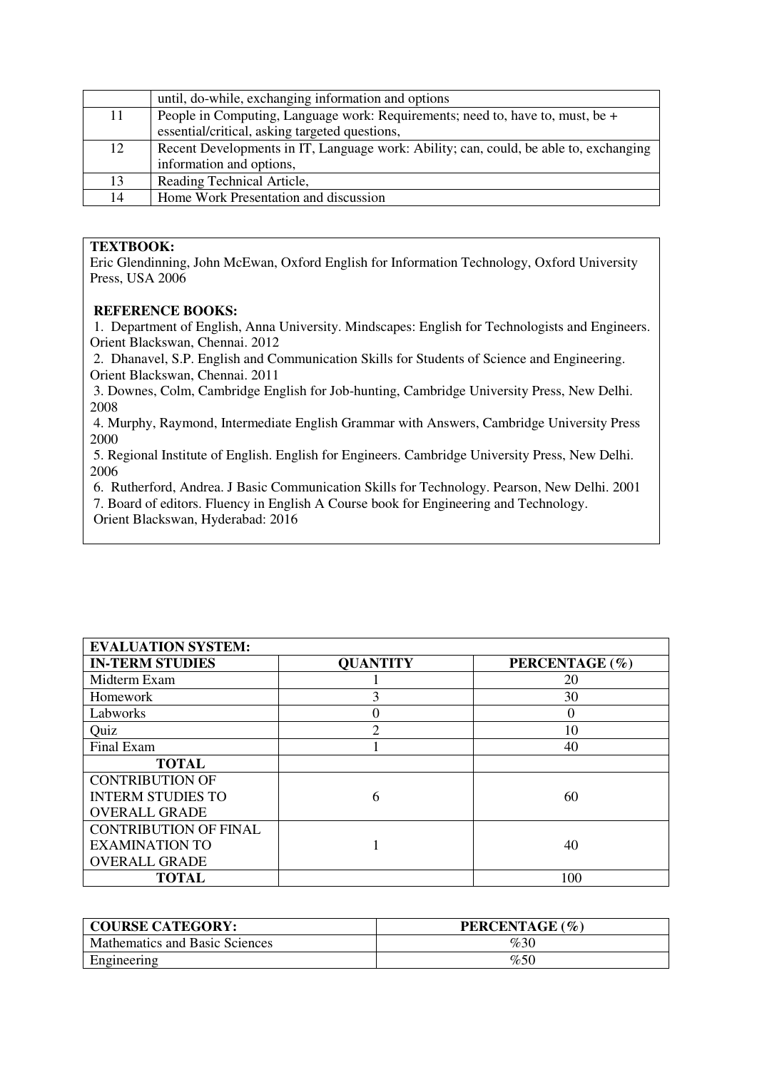|    | until, do-while, exchanging information and options                                   |
|----|---------------------------------------------------------------------------------------|
| 11 | People in Computing, Language work: Requirements; need to, have to, must, be +        |
|    | essential/critical, asking targeted questions,                                        |
| 12 | Recent Developments in IT, Language work: Ability; can, could, be able to, exchanging |
|    | information and options,                                                              |
| 13 | Reading Technical Article,                                                            |
| 14 | Home Work Presentation and discussion                                                 |

### **TEXTBOOK:**

Eric Glendinning, John McEwan, Oxford English for Information Technology, Oxford University Press, USA 2006

#### **REFERENCE BOOKS:**

 1. Department of English, Anna University. Mindscapes: English for Technologists and Engineers. Orient Blackswan, Chennai. 2012

 2. Dhanavel, S.P. English and Communication Skills for Students of Science and Engineering. Orient Blackswan, Chennai. 2011

 3. Downes, Colm, Cambridge English for Job-hunting, Cambridge University Press, New Delhi. 2008

 4. Murphy, Raymond, Intermediate English Grammar with Answers, Cambridge University Press 2000

 5. Regional Institute of English. English for Engineers. Cambridge University Press, New Delhi. 2006

6. Rutherford, Andrea. J Basic Communication Skills for Technology. Pearson, New Delhi. 2001

7. Board of editors. Fluency in English A Course book for Engineering and Technology.

Orient Blackswan, Hyderabad: 2016

| <b>EVALUATION SYSTEM:</b>    |                 |                |
|------------------------------|-----------------|----------------|
| <b>IN-TERM STUDIES</b>       | <b>QUANTITY</b> | PERCENTAGE (%) |
| Midterm Exam                 |                 | 20             |
| Homework                     | 3               | 30             |
| Labworks                     |                 | $\Omega$       |
| Quiz                         | ◠               | 10             |
| Final Exam                   |                 | 40             |
| <b>TOTAL</b>                 |                 |                |
| <b>CONTRIBUTION OF</b>       |                 |                |
| <b>INTERM STUDIES TO</b>     | 6               | 60             |
| <b>OVERALL GRADE</b>         |                 |                |
| <b>CONTRIBUTION OF FINAL</b> |                 |                |
| <b>EXAMINATION TO</b>        |                 | 40             |
| <b>OVERALL GRADE</b>         |                 |                |
| <b>TOTAL</b>                 |                 | 100            |

| <b>COURSE CATEGORY:</b>               | PERCENTAGE (%) |
|---------------------------------------|----------------|
| <b>Mathematics and Basic Sciences</b> | %30            |
| Engineering                           | %50            |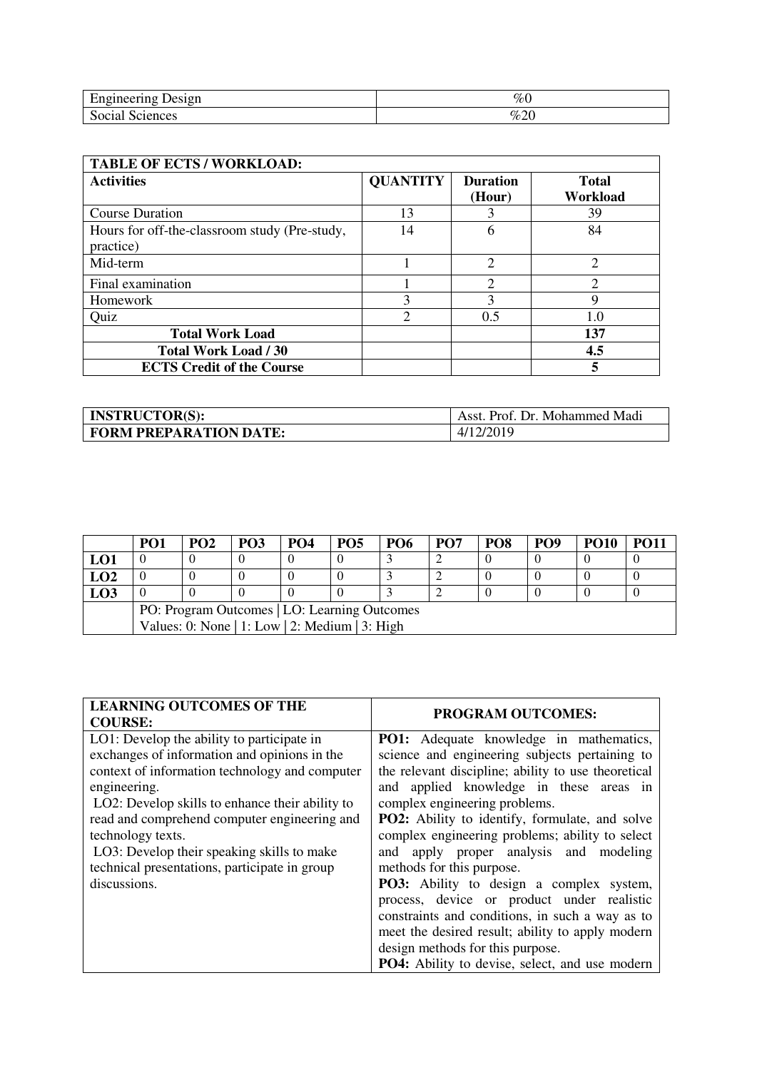| ┮<br>Engineering<br><b>Jessen</b>  | %             |
|------------------------------------|---------------|
| $\mathbf{C}$<br>Social<br>Sciences | $\sim$<br>%20 |

| <b>TABLE OF ECTS / WORKLOAD:</b>                           |                 |                             |                          |  |  |
|------------------------------------------------------------|-----------------|-----------------------------|--------------------------|--|--|
| <b>Activities</b>                                          | <b>QUANTITY</b> | <b>Duration</b><br>(Hour)   | <b>Total</b><br>Workload |  |  |
| <b>Course Duration</b>                                     | 13              |                             | 39                       |  |  |
| Hours for off-the-classroom study (Pre-study,<br>practice) | 14              | 6                           | 84                       |  |  |
| Mid-term                                                   |                 | $\mathcal{D}_{\mathcal{L}}$ | $\mathfrak{D}$           |  |  |
| Final examination                                          |                 | ↑                           | ↑                        |  |  |
| Homework                                                   | 3               | 3                           | 9                        |  |  |
| Quiz                                                       | $\overline{2}$  | 0.5                         | 1.0                      |  |  |
| <b>Total Work Load</b>                                     |                 |                             | 137                      |  |  |
| <b>Total Work Load / 30</b>                                |                 |                             | 4.5                      |  |  |
| <b>ECTS Credit of the Course</b>                           |                 |                             | 5                        |  |  |

| <b>INSTRUCTOR(S):</b>         | Asst. Prof. Dr. Mohammed Madi |
|-------------------------------|-------------------------------|
| <b>FORM PREPARATION DATE:</b> | 4/12/2019                     |

|                                              | PO <sub>1</sub>                                | PO2 | PO <sub>3</sub> | <b>PO4</b> | PO <sub>5</sub> | <b>PO6</b> | PO <sub>7</sub> | PO <sub>8</sub> | PO <sub>9</sub> | <b>PO10</b> | PO <sub>1</sub> |
|----------------------------------------------|------------------------------------------------|-----|-----------------|------------|-----------------|------------|-----------------|-----------------|-----------------|-------------|-----------------|
| LO1                                          |                                                |     |                 |            |                 |            |                 |                 |                 |             |                 |
| <b>LO2</b>                                   |                                                |     |                 |            |                 |            |                 |                 |                 |             |                 |
| LO3                                          |                                                |     |                 |            |                 |            |                 |                 |                 |             |                 |
| PO: Program Outcomes   LO: Learning Outcomes |                                                |     |                 |            |                 |            |                 |                 |                 |             |                 |
|                                              | Values: 0: None   1: Low   2: Medium   3: High |     |                 |            |                 |            |                 |                 |                 |             |                 |

| <b>LEARNING OUTCOMES OF THE</b><br><b>COURSE:</b>                                                                                                                                                                                                                                                                                                                                                   | <b>PROGRAM OUTCOMES:</b>                                                                                                                                                                                                                                                                                                                                                                                                                                                                                                                                                                                                                                    |
|-----------------------------------------------------------------------------------------------------------------------------------------------------------------------------------------------------------------------------------------------------------------------------------------------------------------------------------------------------------------------------------------------------|-------------------------------------------------------------------------------------------------------------------------------------------------------------------------------------------------------------------------------------------------------------------------------------------------------------------------------------------------------------------------------------------------------------------------------------------------------------------------------------------------------------------------------------------------------------------------------------------------------------------------------------------------------------|
| LO1: Develop the ability to participate in<br>exchanges of information and opinions in the<br>context of information technology and computer<br>engineering.<br>LO2: Develop skills to enhance their ability to<br>read and comprehend computer engineering and<br>technology texts.<br>LO3: Develop their speaking skills to make<br>technical presentations, participate in group<br>discussions. | <b>PO1:</b> Adequate knowledge in mathematics,<br>science and engineering subjects pertaining to<br>the relevant discipline; ability to use theoretical<br>and applied knowledge in these areas in<br>complex engineering problems.<br>PO2: Ability to identify, formulate, and solve<br>complex engineering problems; ability to select<br>and apply proper analysis and modeling<br>methods for this purpose.<br><b>PO3:</b> Ability to design a complex system,<br>process, device or product under realistic<br>constraints and conditions, in such a way as to<br>meet the desired result; ability to apply modern<br>design methods for this purpose. |
|                                                                                                                                                                                                                                                                                                                                                                                                     | <b>PO4:</b> Ability to devise, select, and use modern                                                                                                                                                                                                                                                                                                                                                                                                                                                                                                                                                                                                       |